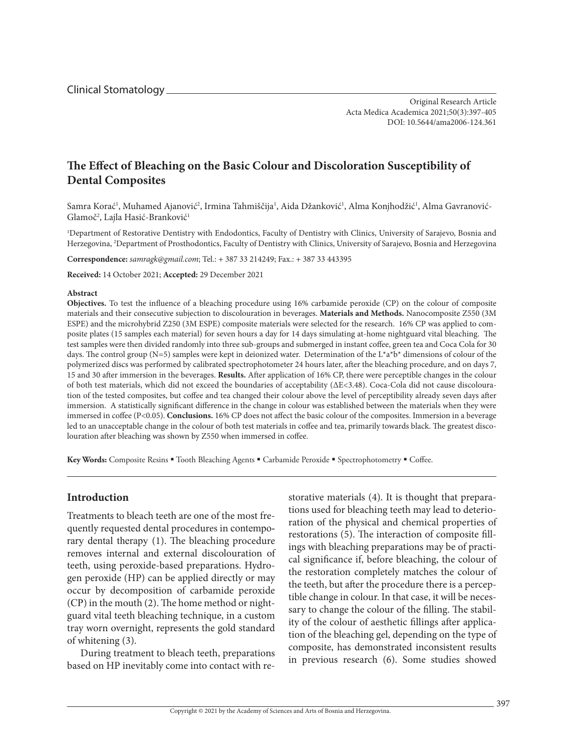Clinical Stomatology

Original Research Article Acta Medica Academica 2021;50(3):397-405 DOI: 10.5644/ama2006-124.361

# **The Effect of Bleaching on the Basic Colour and Discoloration Susceptibility of Dental Composites**

Samra Korać<sup>1</sup>, Muhamed Ajanović<sup>2</sup>, Irmina Tahmiščija<sup>1</sup>, Aida Džanković<sup>1</sup>, Alma Konjhodžić<sup>1</sup>, Alma Gavranović-Glamoč<sup>2</sup>, Lajla Hasić-Branković<sup>1</sup>

1 Department of Restorative Dentistry with Endodontics, Faculty of Dentistry with Clinics, University of Sarajevo, Bosnia and Herzegovina, 2 Department of Prosthodontics, Faculty of Dentistry with Clinics, University of Sarajevo, Bosnia and Herzegovina

**Correspondence:** *samragk@gmail.com*; Tel.: + 387 33 214249; Fax.: + 387 33 443395

**Received:** 14 October 2021; **Accepted:** 29 December 2021

#### **Abstract**

**Objectives.** To test the influence of a bleaching procedure using 16% carbamide peroxide (CP) on the colour of composite materials and their consecutive subjection to discolouration in beverages. **Materials and Methods.** Nanocomposite Z550 (3M ESPE) and the microhybrid Z250 (3M ESPE) composite materials were selected for the research. 16% CP was applied to composite plates (15 samples each material) for seven hours a day for 14 days simulating at-home nightguard vital bleaching. The test samples were then divided randomly into three sub-groups and submerged in instant coffee, green tea and Coca Cola for 30 days. The control group (N=5) samples were kept in deionized water. Determination of the L\*a\*b\* dimensions of colour of the polymerized discs was performed by calibrated spectrophotometer 24 hours later, after the bleaching procedure, and on days 7, 15 and 30 after immersion in the beverages. **Results.** After application of 16% CP, there were perceptible changes in the colour of both test materials, which did not exceed the boundaries of acceptability (ΔE<3.48). Coca-Cola did not cause discolouration of the tested composites, but coffee and tea changed their colour above the level of perceptibility already seven days after immersion. A statistically significant difference in the change in colour was established between the materials when they were immersed in coffee (P<0.05). **Conclusions.** 16% CP does not affect the basic colour of the composites. Immersion in a beverage led to an unacceptable change in the colour of both test materials in coffee and tea, primarily towards black. The greatest discolouration after bleaching was shown by Z550 when immersed in coffee.

Key Words: Composite Resins " Tooth Bleaching Agents " Carbamide Peroxide " Spectrophotometry " Coffee.

# **Introduction**

Treatments to bleach teeth are one of the most frequently requested dental procedures in contemporary dental therapy (1). The bleaching procedure removes internal and external discolouration of teeth, using peroxide-based preparations. Hydrogen peroxide (HP) can be applied directly or may occur by decomposition of carbamide peroxide (CP) in the mouth (2). The home method or nightguard vital teeth bleaching technique, in a custom tray worn overnight, represents the gold standard of whitening (3).

During treatment to bleach teeth, preparations based on HP inevitably come into contact with restorative materials (4). It is thought that preparations used for bleaching teeth may lead to deterioration of the physical and chemical properties of restorations (5). The interaction of composite fillings with bleaching preparations may be of practical significance if, before bleaching, the colour of the restoration completely matches the colour of the teeth, but after the procedure there is a perceptible change in colour. In that case, it will be necessary to change the colour of the filling. The stability of the colour of aesthetic fillings after application of the bleaching gel, depending on the type of composite, has demonstrated inconsistent results in previous research (6). Some studies showed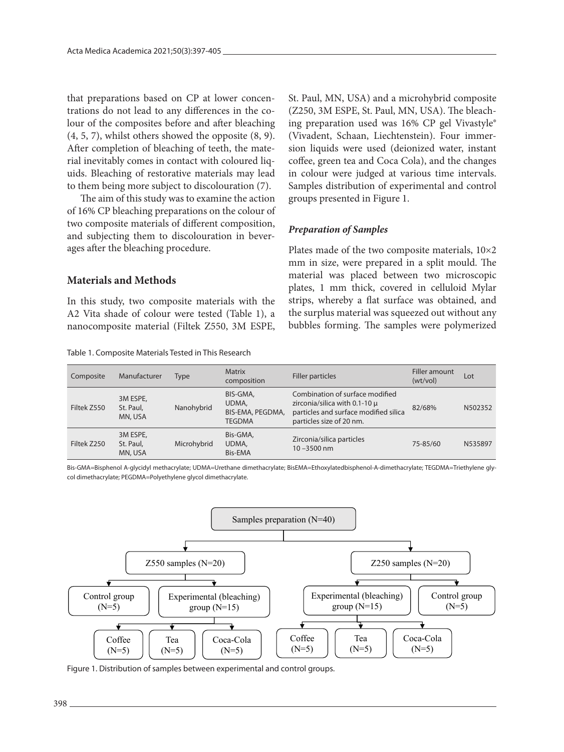that preparations based on CP at lower concentrations do not lead to any differences in the colour of the composites before and after bleaching (4, 5, 7), whilst others showed the opposite (8, 9). After completion of bleaching of teeth, the material inevitably comes in contact with coloured liquids. Bleaching of restorative materials may lead to them being more subject to discolouration (7).

The aim of this study was to examine the action of 16% CP bleaching preparations on the colour of two composite materials of different composition, and subjecting them to discolouration in beverages after the bleaching procedure.

### **Materials and Methods**

In this study, two composite materials with the A2 Vita shade of colour were tested (Table 1), a nanocomposite material (Filtek Z550, 3M ESPE,

| Table 1. Composite Materials Tested in This Research |  |  |
|------------------------------------------------------|--|--|
|------------------------------------------------------|--|--|

St. Paul, MN, USA) and a microhybrid composite (Z250, 3M ESPE, St. Paul, MN, USA). The bleaching preparation used was 16% CP gel Vivastyle® (Vivadent, Schaan, Liechtenstein). Four immersion liquids were used (deionized water, instant coffee, green tea and Coca Cola), and the changes in colour were judged at various time intervals. Samples distribution of experimental and control groups presented in Figure 1.

### *Preparation of Samples*

Plates made of the two composite materials, 10×2 mm in size, were prepared in a split mould. The material was placed between two microscopic plates, 1 mm thick, covered in celluloid Mylar strips, whereby a flat surface was obtained, and the surplus material was squeezed out without any bubbles forming. The samples were polymerized

| Composite   | Manufacturer                     | Type        | <b>Matrix</b><br>composition                           | Filler particles                                                                                                                             | Filler amount<br>(wt/vol) | Lot     |
|-------------|----------------------------------|-------------|--------------------------------------------------------|----------------------------------------------------------------------------------------------------------------------------------------------|---------------------------|---------|
| Filtek Z550 | 3M ESPE,<br>St. Paul,<br>MN, USA | Nanohybrid  | BIS-GMA,<br>UDMA,<br>BIS-EMA, PEGDMA,<br><b>TEGDMA</b> | Combination of surface modified<br>zirconia/silica with $0.1$ -10 $\mu$<br>particles and surface modified silica<br>particles size of 20 nm. | 82/68%                    | N502352 |
| Filtek Z250 | 3M ESPE,<br>St. Paul,<br>MN, USA | Microhybrid | Bis-GMA,<br>UDMA,<br>Bis-EMA                           | Zirconia/silica particles<br>$10 - 3500$ nm                                                                                                  | 75-85/60                  | N535897 |

Bis-GMA=Bisphenol A-glycidyl methacrylate; UDMA=Urethane dimethacrylate; BisEMA=Ethoxylatedbisphenol-A-dimethacrylate; TEGDMA=Triethylene glycol dimethacrylate; PEGDMA=Polyethylene glycol dimethacrylate.



Figure 1. Distribution of samples between experimental and control groups.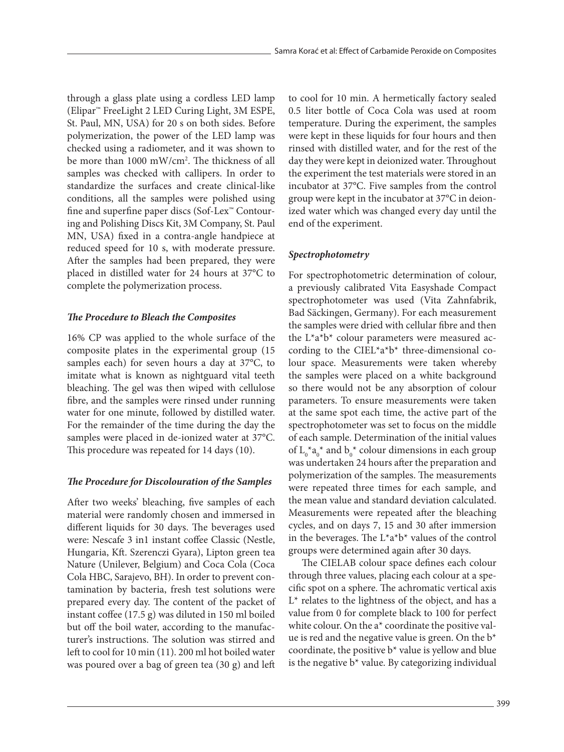through a glass plate using a cordless LED lamp (Elipar™ FreeLight 2 LED Curing Light, 3M ESPE, St. Paul, MN, USA) for 20 s on both sides. Before polymerization, the power of the LED lamp was checked using a radiometer, and it was shown to be more than 1000 mW/cm2 . The thickness of all samples was checked with callipers. In order to standardize the surfaces and create clinical-like conditions, all the samples were polished using fine and superfine paper discs (Sof-Lex™ Contouring and Polishing Discs Kit, 3M Company, St. Paul MN, USA) fixed in a contra-angle handpiece at reduced speed for 10 s, with moderate pressure. After the samples had been prepared, they were placed in distilled water for 24 hours at 37°C to complete the polymerization process.

### *The Procedure to Bleach the Composites*

16% CP was applied to the whole surface of the composite plates in the experimental group (15 samples each) for seven hours a day at 37°C, to imitate what is known as nightguard vital teeth bleaching. The gel was then wiped with cellulose fibre, and the samples were rinsed under running water for one minute, followed by distilled water. For the remainder of the time during the day the samples were placed in de-ionized water at 37°C. This procedure was repeated for 14 days (10).

# *The Procedure for Discolouration of the Samples*

After two weeks' bleaching, five samples of each material were randomly chosen and immersed in different liquids for 30 days. The beverages used were: Nescafe 3 in1 instant coffee Classic (Nestle, Hungaria, Kft. Szerenczi Gyara), Lipton green tea Nature (Unilever, Belgium) and Coca Cola (Coca Cola HBC, Sarajevo, BH). In order to prevent contamination by bacteria, fresh test solutions were prepared every day. The content of the packet of instant coffee (17.5 g) was diluted in 150 ml boiled but off the boil water, according to the manufacturer's instructions. The solution was stirred and left to cool for 10 min (11). 200 ml hot boiled water was poured over a bag of green tea (30 g) and left

to cool for 10 min. A hermetically factory sealed 0.5 liter bottle of Coca Cola was used at room temperature. During the experiment, the samples were kept in these liquids for four hours and then rinsed with distilled water, and for the rest of the day they were kept in deionized water. Throughout the experiment the test materials were stored in an incubator at 37°C. Five samples from the control group were kept in the incubator at 37°C in deionized water which was changed every day until the end of the experiment.

# *Spectrophotometry*

For spectrophotometric determination of colour, a previously calibrated Vita Easyshade Compact spectrophotometer was used (Vita Zahnfabrik, Bad Säckingen, Germany). For each measurement the samples were dried with cellular fibre and then the L\*a\*b\* colour parameters were measured according to the CIEL\*a\*b\* three-dimensional colour space. Measurements were taken whereby the samples were placed on a white background so there would not be any absorption of colour parameters. To ensure measurements were taken at the same spot each time, the active part of the spectrophotometer was set to focus on the middle of each sample. Determination of the initial values of  $L_0^*a_0^*$  and  $b_0^*$  colour dimensions in each group was undertaken 24 hours after the preparation and polymerization of the samples. The measurements were repeated three times for each sample, and the mean value and standard deviation calculated. Measurements were repeated after the bleaching cycles, and on days 7, 15 and 30 after immersion in the beverages. The  $L^*a^*b^*$  values of the control groups were determined again after 30 days.

The CIELAB colour space defines each colour through three values, placing each colour at a specific spot on a sphere. The achromatic vertical axis  $L^*$  relates to the lightness of the object, and has a value from 0 for complete black to 100 for perfect white colour. On the a\* coordinate the positive value is red and the negative value is green. On the  $b^*$ coordinate, the positive  $b^*$  value is yellow and blue is the negative  $b^*$  value. By categorizing individual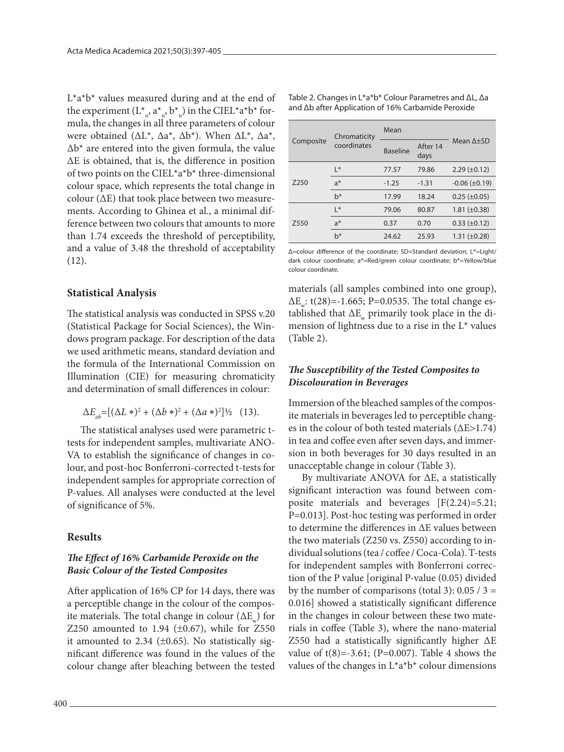$L^*a^*b^*$  values measured during and at the end of the experiment  $(L^*_{n}, a^*_{n}, b^*)$  in the CIEL\*a\*b\* formula, the changes in all three parameters of colour were obtained (∆L\*, ∆a\*, ∆b\*). When ∆L\*, ∆a\*, ∆b\* are entered into the given formula, the value ∆E is obtained, that is, the difference in position of two points on the CIEL\*a\*b\* three-dimensional colour space, which represents the total change in colour (∆E) that took place between two measurements. According to Ghinea et al., a minimal difference between two colours that amounts to more than 1.74 exceeds the threshold of perceptibility, and a value of 3.48 the threshold of acceptability  $(12)$ .

#### **Statistical Analysis**

The statistical analysis was conducted in SPSS v.20 (Statistical Package for Social Sciences), the Windows program package. For description of the data we used arithmetic means, standard deviation and the formula of the International Commission on Illumination (CIE) for measuring chromaticity and determination of small differences in colour:

$$
\Delta E_{ab} = [(\Delta L \ast)^2 + (\Delta b \ast)^2 + (\Delta a \ast)^2] \frac{1}{2} \quad (13).
$$

The statistical analyses used were parametric ttests for independent samples, multivariate ANO-VA to establish the significance of changes in colour, and post-hoc Bonferroni-corrected t-tests for independent samples for appropriate correction of P-values. All analyses were conducted at the level of significance of 5%.

#### **Results**

#### *The Effect of 16% Carbamide Peroxide on the Basic Colour of the Tested Composites*

After application of 16% CP for 14 days, there was a perceptible change in the colour of the composite materials. The total change in colour ( $\Delta E$ ) for Z250 amounted to 1.94  $(\pm 0.67)$ , while for Z550 it amounted to 2.34  $(\pm 0.65)$ . No statistically significant difference was found in the values of the colour change after bleaching between the tested

| Composite        | Chromaticity   | Mean            |                  |                        |
|------------------|----------------|-----------------|------------------|------------------------|
|                  | coordinates    | <b>Baseline</b> | After 14<br>days | Mean $\Delta + SD$     |
|                  | $\mathsf{I}^*$ | 77.57           | 79.86            | $2.29 (\pm 0.12)$      |
| Z <sub>250</sub> | $a^*$          | $-1.25$         | $-1.31$          | $-0.06$ ( $\pm 0.19$ ) |
|                  | $h^*$          | 17.99           | 18.24            | $0.25 (\pm 0.05)$      |
|                  | $\mathsf{I}^*$ | 79.06           | 80.87            | $1.81 (\pm 0.38)$      |
| Z550             | $a^*$          | 0.37            | 0.70             | $0.33 (\pm 0.12)$      |
|                  | $h^*$          | 24.62           | 25.93            | $1.31 (\pm 0.28)$      |

Δ=colour difference of the coordinate; SD=Standard deviation; L\*=Light/ dark colour coordinate; a\*=Red/green colour coordinate; b\*=Yellow/blue colour coordinate.

materials (all samples combined into one group),  $\Delta E$ : t(28)=-1.665; P=0.0535. The total change established that  $\Delta E_w$  primarily took place in the dimension of lightness due to a rise in the L\* values (Table 2).

# *The Susceptibility of the Tested Composites to Discolouration in Beverages*

Immersion of the bleached samples of the composite materials in beverages led to perceptible changes in the colour of both tested materials (ΔE>1.74) in tea and coffee even after seven days, and immersion in both beverages for 30 days resulted in an unacceptable change in colour (Table 3).

By multivariate ANOVA for ΔE, a statistically significant interaction was found between composite materials and beverages [F(2.24)=5.21; P=0.013]. Post-hoc testing was performed in order to determine the differences in ΔE values between the two materials (Z250 vs. Z550) according to individual solutions (tea / coffee / Coca-Cola). T-tests for independent samples with Bonferroni correction of the P value [original P-value (0.05) divided by the number of comparisons (total 3):  $0.05 / 3 =$ 0.016] showed a statistically significant difference in the changes in colour between these two materials in coffee (Table 3), where the nano-material Z550 had a statistically significantly higher ΔE value of  $t(8) = -3.61$ ; (P=0.007). Table 4 shows the values of the changes in  $L^*a^*b^*$  colour dimensions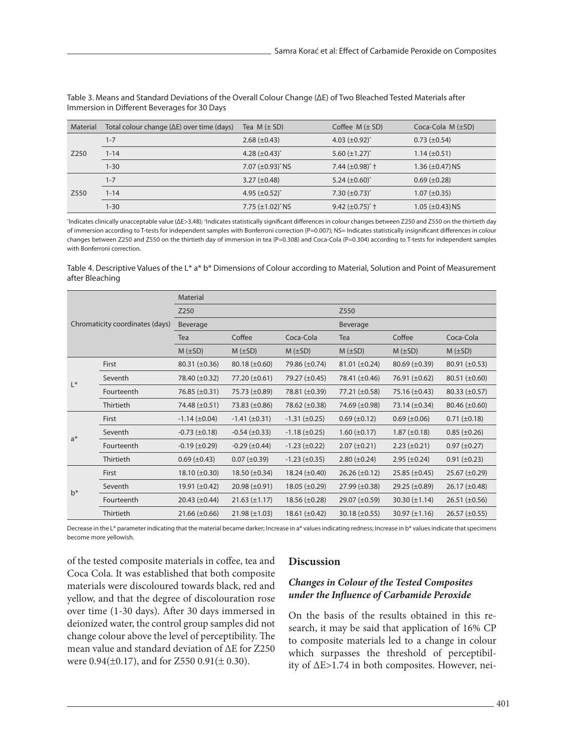| Material | Total colour change $(\Delta E)$ over time (days) | Tea $M (\pm SD)$       | Coffee $M (\pm SD)$   | Coca-Cola $M(\pm SD)$  |
|----------|---------------------------------------------------|------------------------|-----------------------|------------------------|
| Z250     | $1 - 7$                                           | $2.68 (\pm 0.43)$      | 4.03 $(\pm 0.92)^{*}$ | $0.73 \ (\pm 0.54)$    |
|          | $1 - 14$                                          | 4.28 $(\pm 0.43)^{*}$  | 5.60 $(\pm 1.27)^{*}$ | $1.14 (\pm 0.51)$      |
|          | $1 - 30$                                          | 7.07 $(\pm 0.93)^*$ NS | 7.44 $(\pm 0.98)^*$ † | 1.36 $(\pm 0.47)$ NS   |
| Z550     | $1 - 7$                                           | 3.27 $(\pm 0.48)$      | 5.24 $(\pm 0.60)^{*}$ | $0.69 \ (\pm 0.28)$    |
|          | $1 - 14$                                          | 4.95 $(\pm 0.52)^{*}$  | 7.30 $(\pm 0.73)^{*}$ | $1.07 (\pm 0.35)$      |
|          | $1 - 30$                                          | 7.75 $(\pm 1.02)^*$ NS | 9.42 $(\pm 0.75)^*$ † | $1.05 \ (\pm 0.43)$ NS |

Table 3. Means and Standard Deviations of the Overall Colour Change (ΔE) of Two Bleached Tested Materials after Immersion in Different Beverages for 30 Days

<sup>\*</sup>Indicates clinically unacceptable value (ΔE>3.48); <sup>†</sup>Indicates statistically significant differences in colour changes between Z250 and Z550 on the thirtieth day of immersion according to T-tests for independent samples with Bonferroni correction (P=0.007); NS= Indicates statistically insignificant differences in colour changes between Z250 and Z550 on the thirtieth day of immersion in tea (P=0.308) and Coca-Cola (P=0.304) according to T-tests for independent samples with Bonferroni correction.

Table 4. Descriptive Values of the L\* a\* b\* Dimensions of Colour according to Material, Solution and Point of Measurement after Bleaching

| Chromaticity coordinates (days) |            | Material             |                        |                        |                      |                      |                      |
|---------------------------------|------------|----------------------|------------------------|------------------------|----------------------|----------------------|----------------------|
|                                 |            | Z250                 |                        |                        | Z550                 |                      |                      |
|                                 |            | Beverage             |                        |                        | Beverage             |                      |                      |
|                                 |            | Tea                  | Coffee                 | Coca-Cola              | Tea                  | Coffee               | Coca-Cola            |
|                                 |            | $M$ ( $\pm$ SD)      | $M (\pm SD)$           | $M (\pm SD)$           | $M (\pm SD)$         | $M$ ( $\pm$ SD)      | $M$ ( $\pm$ SD)      |
| $L^*$                           | First      | $80.31 (\pm 0.36)$   | $80.18 (\pm 0.60)$     | 79.86 (±0.74)          | $81.01 (\pm 0.24)$   | $80.69 \ (\pm 0.39)$ | 80.91 $(\pm 0.53)$   |
|                                 | Seventh    | 78.40 (±0.32)        | 77.20 $(\pm 0.61)$     | 79.27 (±0.45)          | 78.41 (±0.46)        | 76.91 $(\pm 0.62)$   | $80.51 (\pm 0.60)$   |
|                                 | Fourteenth | 76.85 $(\pm 0.31)$   | 75.73 (±0.89)          | 78.81 (±0.39)          | 77.21 $(\pm 0.58)$   | 75.16 $(\pm 0.43)$   | $80.33 \ (\pm 0.57)$ |
|                                 | Thirtieth  | 74.48 (±0.51)        | 73.83 (±0.86)          | 78.62 (±0.38)          | 74.69 (±0.98)        | 73.14 $(\pm 0.34)$   | $80.46 \ (\pm 0.60)$ |
| $a^*$                           | First      | $-1.14 \ (\pm 0.04)$ | $-1.41 (\pm 0.31)$     | $-1.31 (\pm 0.25)$     | $0.69 \ (\pm 0.12)$  | $0.69 \ (\pm 0.06)$  | $0.71 (\pm 0.18)$    |
|                                 | Seventh    | $-0.73 \ (\pm 0.18)$ | $-0.54 \ (\pm 0.33)$   | $-1.18 (\pm 0.25)$     | $1.60 \ (\pm 0.17)$  | $1.87 (\pm 0.18)$    | $0.85 (\pm 0.26)$    |
|                                 | Fourteenth | $-0.19 \ (\pm 0.29)$ | $-0.29$ ( $\pm 0.44$ ) | $-1.23$ ( $\pm 0.22$ ) | $2.07 (\pm 0.21)$    | $2.23 (\pm 0.21)$    | $0.97 (\pm 0.27)$    |
|                                 | Thirtieth  | $0.69 \, (\pm 0.43)$ | $0.07 (\pm 0.39)$      | $-1.23$ (±0.35)        | $2.80 (\pm 0.24)$    | $2.95 \ (\pm 0.24)$  | $0.91 (\pm 0.23)$    |
| $b^*$                           | First      | $18.10 (\pm 0.30)$   | 18.50 $(\pm 0.34)$     | 18.24 $(\pm 0.40)$     | $26.26 (\pm 0.12)$   | $25.85 \ (\pm 0.45)$ | $25.67 (\pm 0.29)$   |
|                                 | Seventh    | 19.91 $(\pm 0.42)$   | $20.98 \ (\pm 0.91)$   | $18.05 \ (\pm 0.29)$   | $27.99 \ (\pm 0.38)$ | 29.25 $(\pm 0.89)$   | $26.17 (\pm 0.48)$   |
|                                 | Fourteenth | $20.43 \ (\pm 0.44)$ | $21.63 (\pm 1.17)$     | $18.56 \ (\pm 0.28)$   | 29.07 $(\pm 0.59)$   | 30.30 $(\pm 1.14)$   | $26.51 (\pm 0.56)$   |
|                                 | Thirtieth  | $21.66 (\pm 0.66)$   | $21.98 (\pm 1.03)$     | 18.61 $(\pm 0.42)$     | $30.18 (\pm 0.55)$   | $30.97 (\pm 1.16)$   | $26.57 \ (\pm 0.55)$ |

Decrease in the L\* parameter indicating that the material became darker; Increase in a\* values indicating redness; Increase in b\* values indicate that specimens become more yellowish.

of the tested composite materials in coffee, tea and Coca Cola. It was established that both composite materials were discoloured towards black, red and yellow, and that the degree of discolouration rose over time (1-30 days). After 30 days immersed in deionized water, the control group samples did not change colour above the level of perceptibility. The mean value and standard deviation of ΔE for Z250 were 0.94( $\pm$ 0.17), and for Z550 0.91( $\pm$ 0.30).

#### **Discussion**

# *Changes in Colour of the Tested Composites under the Influence of Carbamide Peroxide*

On the basis of the results obtained in this research, it may be said that application of 16% CP to composite materials led to a change in colour which surpasses the threshold of perceptibility of ΔE>1.74 in both composites. However, nei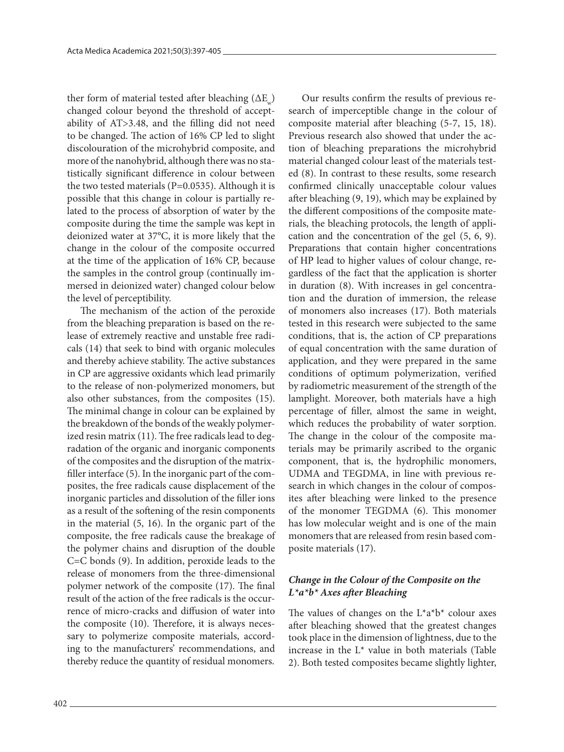ther form of material tested after bleaching  $(\Delta E_{\mu})$ changed colour beyond the threshold of acceptability of AT>3.48, and the filling did not need to be changed. The action of 16% CP led to slight discolouration of the microhybrid composite, and more of the nanohybrid, although there was no statistically significant difference in colour between the two tested materials ( $P=0.0535$ ). Although it is possible that this change in colour is partially related to the process of absorption of water by the composite during the time the sample was kept in deionized water at 37°C, it is more likely that the change in the colour of the composite occurred at the time of the application of 16% CP, because the samples in the control group (continually immersed in deionized water) changed colour below the level of perceptibility.

The mechanism of the action of the peroxide from the bleaching preparation is based on the release of extremely reactive and unstable free radicals (14) that seek to bind with organic molecules and thereby achieve stability. The active substances in CP are aggressive oxidants which lead primarily to the release of non-polymerized monomers, but also other substances, from the composites (15). The minimal change in colour can be explained by the breakdown of the bonds of the weakly polymerized resin matrix (11). The free radicals lead to degradation of the organic and inorganic components of the composites and the disruption of the matrixfiller interface (5). In the inorganic part of the composites, the free radicals cause displacement of the inorganic particles and dissolution of the filler ions as a result of the softening of the resin components in the material (5, 16). In the organic part of the composite, the free radicals cause the breakage of the polymer chains and disruption of the double C=C bonds (9). In addition, peroxide leads to the release of monomers from the three-dimensional polymer network of the composite (17). The final result of the action of the free radicals is the occurrence of micro-cracks and diffusion of water into the composite (10). Therefore, it is always necessary to polymerize composite materials, according to the manufacturers' recommendations, and thereby reduce the quantity of residual monomers.

Our results confirm the results of previous research of imperceptible change in the colour of composite material after bleaching (5-7, 15, 18). Previous research also showed that under the action of bleaching preparations the microhybrid material changed colour least of the materials tested (8). In contrast to these results, some research confirmed clinically unacceptable colour values after bleaching (9, 19), which may be explained by the different compositions of the composite materials, the bleaching protocols, the length of application and the concentration of the gel (5, 6, 9). Preparations that contain higher concentrations of HP lead to higher values of colour change, regardless of the fact that the application is shorter in duration (8). With increases in gel concentration and the duration of immersion, the release of monomers also increases (17). Both materials tested in this research were subjected to the same conditions, that is, the action of CP preparations of equal concentration with the same duration of application, and they were prepared in the same conditions of optimum polymerization, verified by radiometric measurement of the strength of the lamplight. Moreover, both materials have a high percentage of filler, almost the same in weight, which reduces the probability of water sorption. The change in the colour of the composite materials may be primarily ascribed to the organic component, that is, the hydrophilic monomers, UDMA and TEGDMA, in line with previous research in which changes in the colour of composites after bleaching were linked to the presence of the monomer TEGDMA (6). This monomer has low molecular weight and is one of the main monomers that are released from resin based composite materials (17).

# *Change in the Colour of the Composite on the L\*a\*b\* Axes after Bleaching*

The values of changes on the  $L^*a^*b^*$  colour axes after bleaching showed that the greatest changes took place in the dimension of lightness, due to the increase in the L\* value in both materials (Table 2). Both tested composites became slightly lighter,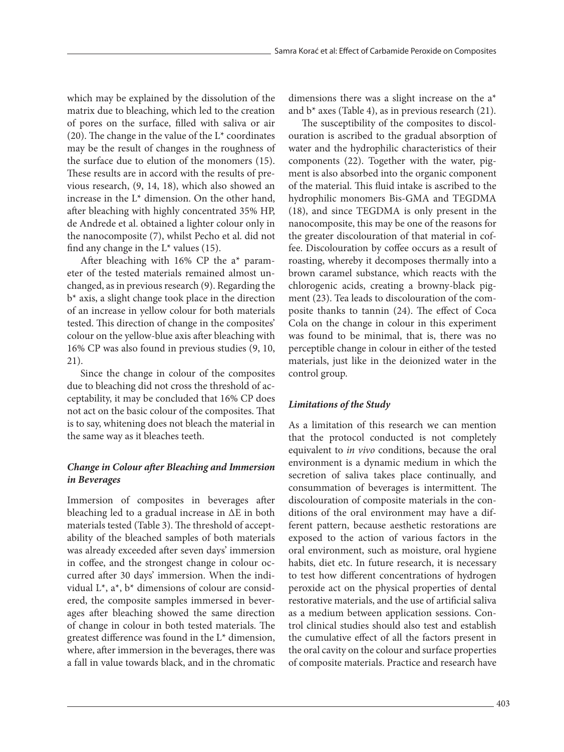which may be explained by the dissolution of the matrix due to bleaching, which led to the creation of pores on the surface, filled with saliva or air (20). The change in the value of the  $L^*$  coordinates may be the result of changes in the roughness of the surface due to elution of the monomers (15). These results are in accord with the results of previous research, (9, 14, 18), which also showed an increase in the  $L^*$  dimension. On the other hand, after bleaching with highly concentrated 35% HP, de Andrede et al. obtained a lighter colour only in the nanocomposite (7), whilst Pecho et al. did not find any change in the  $L^*$  values (15).

After bleaching with 16% CP the a\* parameter of the tested materials remained almost unchanged, as in previous research (9). Regarding the b\* axis, a slight change took place in the direction of an increase in yellow colour for both materials tested. This direction of change in the composites' colour on the yellow-blue axis after bleaching with 16% CP was also found in previous studies (9, 10, 21).

Since the change in colour of the composites due to bleaching did not cross the threshold of acceptability, it may be concluded that 16% CP does not act on the basic colour of the composites. That is to say, whitening does not bleach the material in the same way as it bleaches teeth.

# *Change in Colour after Bleaching and Immersion in Beverages*

Immersion of composites in beverages after bleaching led to a gradual increase in ΔE in both materials tested (Table 3). The threshold of acceptability of the bleached samples of both materials was already exceeded after seven days' immersion in coffee, and the strongest change in colour occurred after 30 days' immersion. When the individual L\*, a\*, b\* dimensions of colour are considered, the composite samples immersed in beverages after bleaching showed the same direction of change in colour in both tested materials. The greatest difference was found in the L\* dimension, where, after immersion in the beverages, there was a fall in value towards black, and in the chromatic dimensions there was a slight increase on the a\* and  $b^*$  axes (Table 4), as in previous research (21).

The susceptibility of the composites to discolouration is ascribed to the gradual absorption of water and the hydrophilic characteristics of their components (22). Together with the water, pigment is also absorbed into the organic component of the material. This fluid intake is ascribed to the hydrophilic monomers Bis-GMA and TEGDMA (18), and since TEGDMA is only present in the nanocomposite, this may be one of the reasons for the greater discolouration of that material in coffee. Discolouration by coffee occurs as a result of roasting, whereby it decomposes thermally into a brown caramel substance, which reacts with the chlorogenic acids, creating a browny-black pigment (23). Tea leads to discolouration of the composite thanks to tannin (24). The effect of Coca Cola on the change in colour in this experiment was found to be minimal, that is, there was no perceptible change in colour in either of the tested materials, just like in the deionized water in the control group.

# *Limitations of the Study*

As a limitation of this research we can mention that the protocol conducted is not completely equivalent to *in vivo* conditions, because the oral environment is a dynamic medium in which the secretion of saliva takes place continually, and consummation of beverages is intermittent. The discolouration of composite materials in the conditions of the oral environment may have a different pattern, because aesthetic restorations are exposed to the action of various factors in the oral environment, such as moisture, oral hygiene habits, diet etc. In future research, it is necessary to test how different concentrations of hydrogen peroxide act on the physical properties of dental restorative materials, and the use of artificial saliva as a medium between application sessions. Control clinical studies should also test and establish the cumulative effect of all the factors present in the oral cavity on the colour and surface properties of composite materials. Practice and research have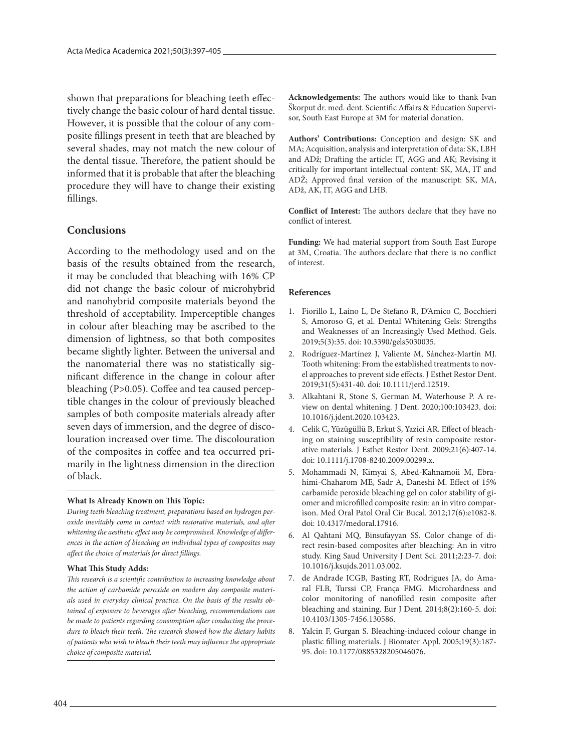shown that preparations for bleaching teeth effectively change the basic colour of hard dental tissue. However, it is possible that the colour of any composite fillings present in teeth that are bleached by several shades, may not match the new colour of the dental tissue. Therefore, the patient should be informed that it is probable that after the bleaching procedure they will have to change their existing fillings.

#### **Conclusions**

According to the methodology used and on the basis of the results obtained from the research, it may be concluded that bleaching with 16% CP did not change the basic colour of microhybrid and nanohybrid composite materials beyond the threshold of acceptability. Imperceptible changes in colour after bleaching may be ascribed to the dimension of lightness, so that both composites became slightly lighter. Between the universal and the nanomaterial there was no statistically significant difference in the change in colour after bleaching (P>0.05). Coffee and tea caused perceptible changes in the colour of previously bleached samples of both composite materials already after seven days of immersion, and the degree of discolouration increased over time. The discolouration of the composites in coffee and tea occurred primarily in the lightness dimension in the direction of black.

#### **What Is Already Known on This Topic:**

*During teeth bleaching treatment, preparations based on hydrogen peroxide inevitably come in contact with restorative materials, and after whitening the aesthetic effect may be compromised. Knowledge of differences in the action of bleaching on individual types of composites may affect the choice of materials for direct fillings.* 

#### **What This Study Adds:**

*This research is a scientific contribution to increasing knowledge about the action of carbamide peroxide on modern day composite materials used in everyday clinical practice. On the basis of the results obtained of exposure to beverages after bleaching, recommendations can be made to patients regarding consumption after conducting the procedure to bleach their teeth. The research showed how the dietary habits of patients who wish to bleach their teeth may influence the appropriate choice of composite material.* 

**Acknowledgements:** The authors would like to thank Ivan Škorput dr. med. dent. Scientific Affairs & Education Supervisor, South East Europe at 3M for material donation.

**Authors' Contributions:** Conception and design: SK and MA; Acquisition, analysis and interpretation of data: SK, LBH and ADž; Drafting the article: IT, AGG and AK; Revising it critically for important intellectual content: SK, MA, IT and ADŽ; Approved final version of the manuscript: SK, MA, ADž, AK, IT, AGG and LHB.

**Conflict of Interest:** The authors declare that they have no conflict of interest.

**Funding:** We had material support from South East Europe at 3M, Croatia. The authors declare that there is no conflict of interest.

#### **References**

- 1. Fiorillo L, Laino L, De Stefano R, D'Amico C, Bocchieri S, Amoroso G, et al. Dental Whitening Gels: Strengths and Weaknesses of an Increasingly Used Method. Gels. 2019;5(3):35. doi: 10.3390/gels5030035.
- 2. Rodríguez-Martínez J, Valiente M, Sánchez-Martín MJ. Tooth whitening: From the established treatments to novel approaches to prevent side effects. J Esthet Restor Dent. 2019;31(5):431-40. doi: 10.1111/jerd.12519.
- 3. Alkahtani R, Stone S, German M, Waterhouse P. A review on dental whitening. J Dent. 2020;100:103423. doi: 10.1016/j.jdent.2020.103423.
- 4. Celik C, Yüzügüllü B, Erkut S, Yazici AR. Effect of bleaching on staining susceptibility of resin composite restorative materials. J Esthet Restor Dent. 2009;21(6):407-14. doi: 10.1111/j.1708-8240.2009.00299.x.
- 5. Mohammadi N, Kimyai S, Abed-Kahnamoii M, Ebrahimi-Chaharom ME, Sadr A, Daneshi M. Effect of 15% carbamide peroxide bleaching gel on color stability of giomer and microfilled composite resin: an in vitro comparison. Med Oral Patol Oral Cir Bucal. 2012;17(6):e1082-8. doi: 10.4317/medoral.17916.
- 6. Al Qahtani MQ, Binsufayyan SS. Color change of direct resin-based composites after bleaching: An in vitro study. King Saud University J Dent Sci. 2011;2:23-7. doi: 10.1016/j.ksujds.2011.03.002.
- 7. de Andrade ICGB, Basting RT, Rodrigues JA, do Amaral FLB, Turssi CP, França FMG. Microhardness and color monitoring of nanofilled resin composite after bleaching and staining. Eur J Dent. 2014;8(2):160-5. doi: 10.4103/1305-7456.130586.
- 8. Yalcin F, Gurgan S. Bleaching-induced colour change in plastic filling materials. J Biomater Appl. 2005;19(3):187- 95. doi: 10.1177/0885328205046076.